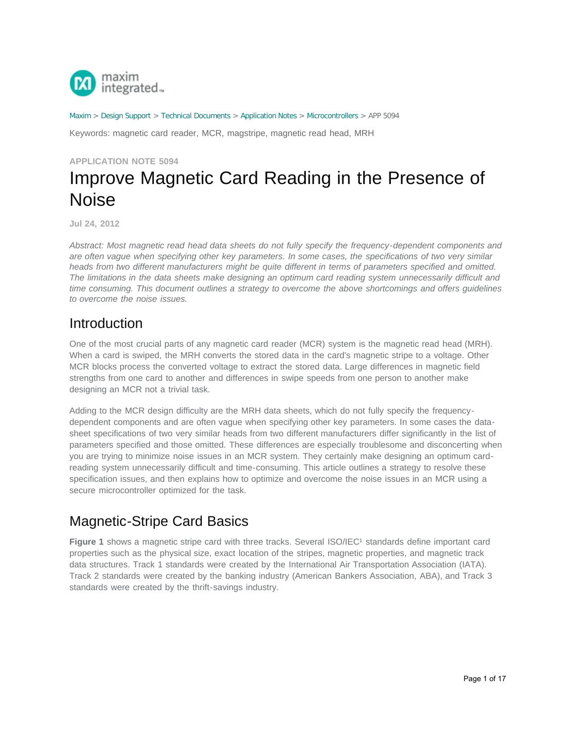

[Maxim](http://www.maximintegrated.com/) > [Design Support](http://www.maximintegrated.com/design/) > [Technical Documents](http://www.maximintegrated.com/design/techdocs/) > [Application Notes](http://www.maximintegrated.com/design/techdocs/app-notes/index.mvp) > [Microcontrollers](http://www.maximintegrated.com/design/techdocs/app-notes/index.mvp/id/17/c/Microcontrollers#c17) > APP 5094

Keywords: magnetic card reader, MCR, magstripe, magnetic read head, MRH

**APPLICATION NOTE 5094**

# Improve Magnetic Card Reading in the Presence of Noise

**Jul 24, 2012**

*Abstract: Most magnetic read head data sheets do not fully specify the frequency-dependent components and are often vague when specifying other key parameters. In some cases, the specifications of two very similar heads from two different manufacturers might be quite different in terms of parameters specified and omitted. The limitations in the data sheets make designing an optimum card reading system unnecessarily difficult and time consuming. This document outlines a strategy to overcome the above shortcomings and offers guidelines to overcome the noise issues.*

#### Introduction

One of the most crucial parts of any magnetic card reader (MCR) system is the magnetic read head (MRH). When a card is swiped, the MRH converts the stored data in the card's magnetic stripe to a voltage. Other MCR blocks process the converted voltage to extract the stored data. Large differences in magnetic field strengths from one card to another and differences in swipe speeds from one person to another make designing an MCR not a trivial task.

Adding to the MCR design difficulty are the MRH data sheets, which do not fully specify the frequencydependent components and are often vague when specifying other key parameters. In some cases the datasheet specifications of two very similar heads from two different manufacturers differ significantly in the list of parameters specified and those omitted. These differences are especially troublesome and disconcerting when you are trying to minimize noise issues in an MCR system. They certainly make designing an optimum cardreading system unnecessarily difficult and time-consuming. This article outlines a strategy to resolve these specification issues, and then explains how to optimize and overcome the noise issues in an MCR using a secure microcontroller optimized for the task.

# Magnetic-Stripe Card Basics

Figure 1 shows a magnetic stripe card with three tracks. Several ISO/IEC<sup>1</sup> standards define important card properties such as the physical size, exact location of the stripes, magnetic properties, and magnetic track data structures. Track 1 standards were created by the International Air Transportation Association (IATA). Track 2 standards were created by the banking industry (American Bankers Association, ABA), and Track 3 standards were created by the thrift-savings industry.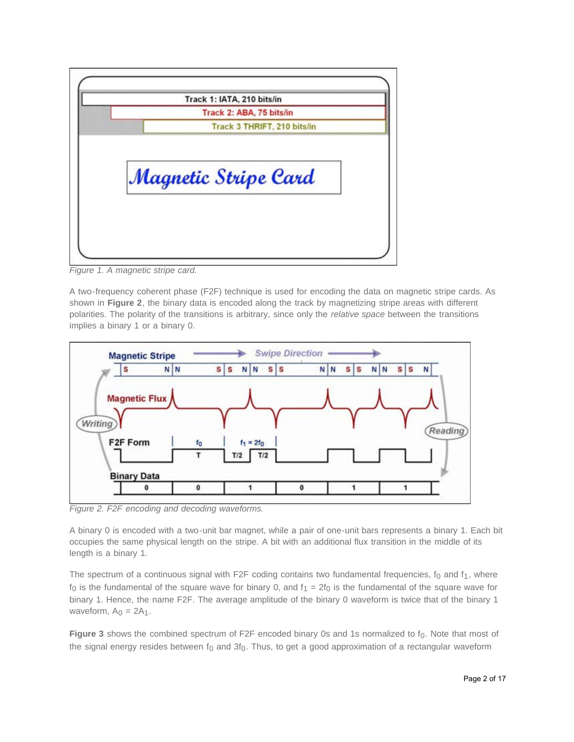| Track 1: IATA, 210 bits/in  |  |
|-----------------------------|--|
| Track 2: ABA, 75 bits/in    |  |
| Track 3 THRIFT, 210 bits/in |  |
| Magnetic Stripe Card        |  |
|                             |  |
|                             |  |

*Figure 1. A magnetic stripe card.*

A two-frequency coherent phase (F2F) technique is used for encoding the data on magnetic stripe cards. As shown in **Figure 2**, the binary data is encoded along the track by magnetizing stripe areas with different polarities. The polarity of the transitions is arbitrary, since only the *relative space* between the transitions implies a binary 1 or a binary 0.



*Figure 2. F2F encoding and decoding waveforms.*

A binary 0 is encoded with a two-unit bar magnet, while a pair of one-unit bars represents a binary 1. Each bit occupies the same physical length on the stripe. A bit with an additional flux transition in the middle of its length is a binary 1.

The spectrum of a continuous signal with F2F coding contains two fundamental frequencies,  $f_0$  and  $f_1$ , where  $f_0$  is the fundamental of the square wave for binary 0, and  $f_1 = 2f_0$  is the fundamental of the square wave for binary 1. Hence, the name F2F. The average amplitude of the binary 0 waveform is twice that of the binary 1 waveform,  $A_0 = 2A_1$ .

Figure 3 shows the combined spectrum of F2F encoded binary 0s and 1s normalized to f<sub>0</sub>. Note that most of the signal energy resides between  $f_0$  and  $3f_0$ . Thus, to get a good approximation of a rectangular waveform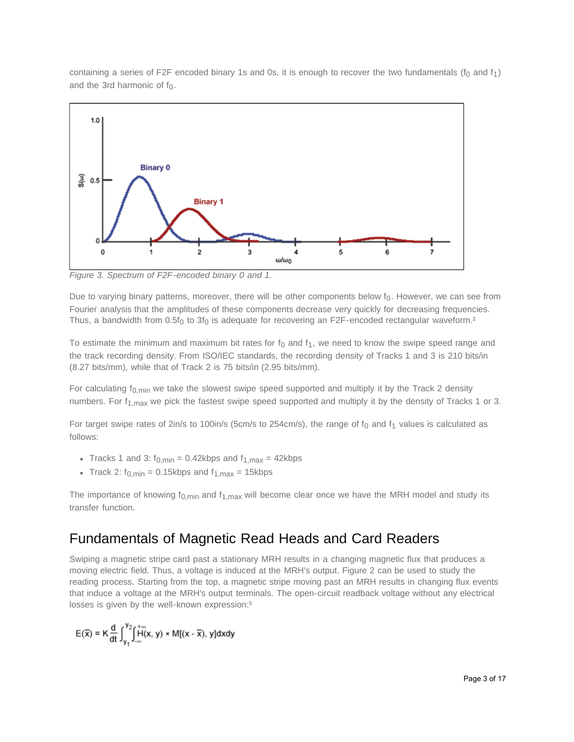containing a series of F2F encoded binary 1s and 0s, it is enough to recover the two fundamentals ( $f_0$  and  $f_1$ ) and the 3rd harmonic of  $f_0$ .



*Figure 3. Spectrum of F2F-encoded binary 0 and 1.*

Due to varying binary patterns, moreover, there will be other components below  $f_0$ . However, we can see from Fourier analysis that the amplitudes of these components decrease very quickly for decreasing frequencies. Thus, a bandwidth from  $0.5f_0$  to  $3f_0$  is adequate for recovering an F2F-encoded rectangular waveform.<sup>2</sup>

To estimate the minimum and maximum bit rates for  $f_0$  and  $f_1$ , we need to know the swipe speed range and the track recording density. From ISO/IEC standards, the recording density of Tracks 1 and 3 is 210 bits/in (8.27 bits/mm), while that of Track 2 is 75 bits/in (2.95 bits/mm).

For calculating  $f_{0,\text{min}}$  we take the slowest swipe speed supported and multiply it by the Track 2 density numbers. For  $f_{1,max}$  we pick the fastest swipe speed supported and multiply it by the density of Tracks 1 or 3.

For target swipe rates of 2in/s to 100in/s (5cm/s to 254cm/s), the range of  $f_0$  and  $f_1$  values is calculated as follows:

- Tracks 1 and 3:  $f_{0,\text{min}} = 0.42$ kbps and  $f_{1,\text{max}} = 42$ kbps
- Track 2:  $f_{0,\text{min}} = 0.15$ kbps and  $f_{1,\text{max}} = 15$ kbps

The importance of knowing  $f_{0,\text{min}}$  and  $f_{1,\text{max}}$  will become clear once we have the MRH model and study its transfer function.

### Fundamentals of Magnetic Read Heads and Card Readers

Swiping a magnetic stripe card past a stationary MRH results in a changing magnetic flux that produces a moving electric field. Thus, a voltage is induced at the MRH's output. Figure 2 can be used to study the reading process. Starting from the top, a magnetic stripe moving past an MRH results in changing flux events that induce a voltage at the MRH's output terminals. The open-circuit readback voltage without any electrical losses is given by the well-known expression:<sup>3</sup>

$$
E(\overline{x}) = K \frac{d}{dt} \int_{y_1}^{y_2} \int_{-\infty}^{+\infty} H(x, y) \times M[(x - \overline{x}), y] dx dy
$$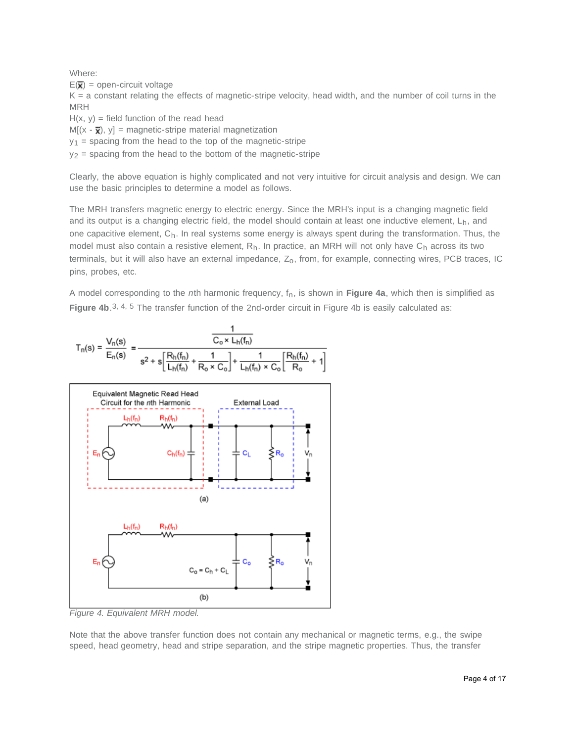Where:

 $E(\overline{\mathbf{x}})$  = open-circuit voltage

 $K = a$  constant relating the effects of magnetic-stripe velocity, head width, and the number of coil turns in the MRH

 $H(x, y)$  = field function of the read head

 $M[(x - \overline{x}), y] =$  magnetic-stripe material magnetization

 $y_1$  = spacing from the head to the top of the magnetic-stripe

 $y_2$  = spacing from the head to the bottom of the magnetic-stripe

Clearly, the above equation is highly complicated and not very intuitive for circuit analysis and design. We can use the basic principles to determine a model as follows.

The MRH transfers magnetic energy to electric energy. Since the MRH's input is a changing magnetic field and its output is a changing electric field, the model should contain at least one inductive element,  $L_h$ , and one capacitive element,  $C_h$ . In real systems some energy is always spent during the transformation. Thus, the model must also contain a resistive element,  $R_h$ . In practice, an MRH will not only have  $C_h$  across its two terminals, but it will also have an external impedance, Z<sub>o</sub>, from, for example, connecting wires, PCB traces, IC pins, probes, etc.

A model corresponding to the *n*th harmonic frequency, fn, is shown in **Figure 4a**, which then is simplified as **Figure 4b**.<sup>3, 4, 5</sup> The transfer function of the 2nd-order circuit in Figure 4b is easily calculated as:



*Figure 4. Equivalent MRH model.*

Note that the above transfer function does not contain any mechanical or magnetic terms, e.g., the swipe speed, head geometry, head and stripe separation, and the stripe magnetic properties. Thus, the transfer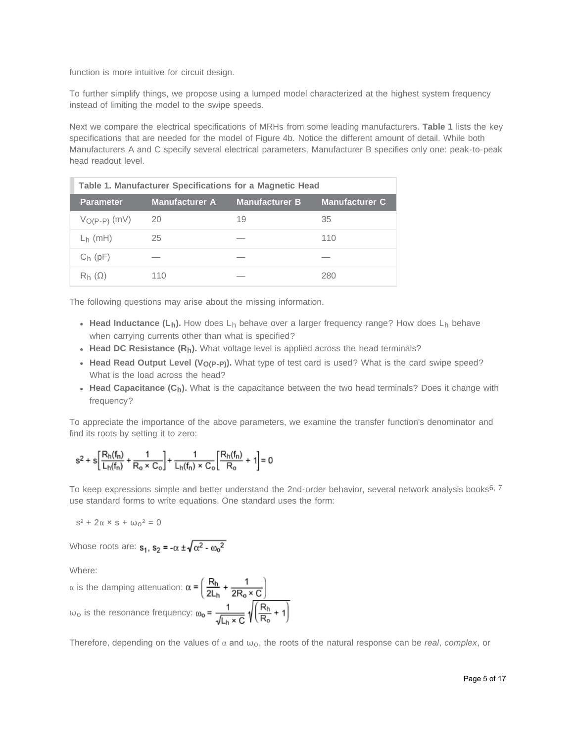function is more intuitive for circuit design.

To further simplify things, we propose using a lumped model characterized at the highest system frequency instead of limiting the model to the swipe speeds.

Next we compare the electrical specifications of MRHs from some leading manufacturers. **Table 1** lists the key specifications that are needed for the model of Figure 4b. Notice the different amount of detail. While both Manufacturers A and C specify several electrical parameters, Manufacturer B specifies only one: peak-to-peak head readout level.

| Table 1. Manufacturer Specifications for a Magnetic Head |                       |                       |                       |  |  |
|----------------------------------------------------------|-----------------------|-----------------------|-----------------------|--|--|
| <b>Parameter</b>                                         | <b>Manufacturer A</b> | <b>Manufacturer B</b> | <b>Manufacturer C</b> |  |  |
| $V_{O(P-P)}$ (mV)                                        | 20                    | 19                    | 35                    |  |  |
| $L_h$ (mH)                                               | 25                    |                       | 110                   |  |  |
| $C_h$ (pF)                                               |                       |                       |                       |  |  |
| $R_h(\Omega)$                                            | 110                   |                       | 280                   |  |  |

The following questions may arise about the missing information.

- **Head Inductance (L<sub>h</sub>).** How does L<sub>h</sub> behave over a larger frequency range? How does L<sub>h</sub> behave when carrying currents other than what is specified?
- **Head DC Resistance**  $(R_h)$ **.** What voltage level is applied across the head terminals?
- Head Read Output Level (V<sub>O(P-P)</sub>). What type of test card is used? What is the card swipe speed? What is the load across the head?
- Head Capacitance (C<sub>h</sub>). What is the capacitance between the two head terminals? Does it change with frequency?

To appreciate the importance of the above parameters, we examine the transfer function's denominator and find its roots by setting it to zero:

$$
s^2+s\bigg[\frac{R_h(f_n)}{L_h(f_n)}+\frac{1}{R_o\times C_o}\bigg]+\frac{1}{L_h(f_n)\times C_o}\bigg[\frac{R_h(f_n)}{R_o}+1\bigg]=0
$$

To keep expressions simple and better understand the 2nd-order behavior, several network analysis books<sup>6, 7</sup> use standard forms to write equations. One standard uses the form:

 $s^{2} + 2\alpha \times s + \omega_{0}^{2} = 0$ 

Whose roots are:  $s_1$ ,  $s_2 = -\alpha \pm \sqrt{\alpha^2 - {\omega_0}^2}$ 

Where:

$$
\alpha \text{ is the damping attenuation: } \alpha = \left(\frac{R_h}{2L_h} + \frac{1}{2R_o \times C}\right)
$$

$$
\omega_0 \text{ is the resonance frequency: } \omega_0 = \frac{1}{\sqrt{L_h \times C}} \sqrt{\left(\frac{R_h}{R_o} + 1\right)}
$$

Therefore, depending on the values of α and ωo, the roots of the natural response can be *real*, *complex*, or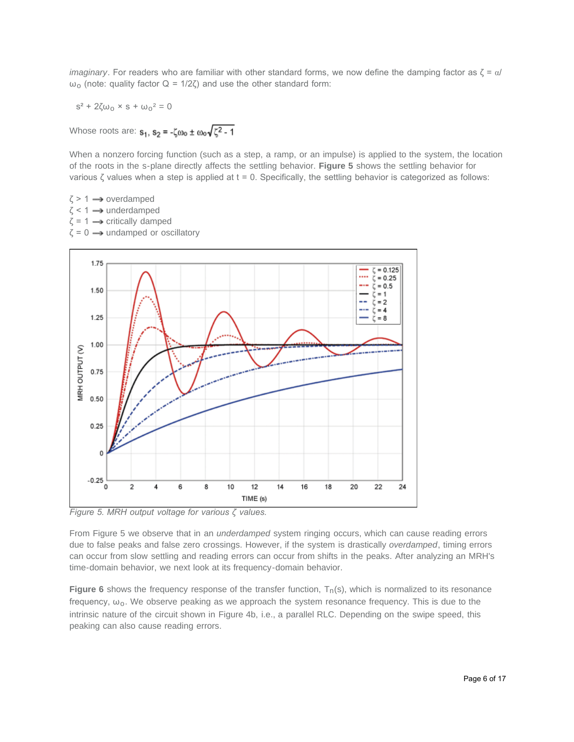*imaginary*. For readers who are familiar with other standard forms, we now define the damping factor as ζ = α/  $ω<sub>o</sub>$  (note: quality factor  $Q = 1/2ζ$ ) and use the other standard form:

 $s^2$  + 2ζω<sub>0</sub> × s + ω<sub>0</sub><sup>2</sup> = 0

Whose roots are:  $s_1$ ,  $s_2 = -\zeta \omega_0 \pm \omega_0 \sqrt{\zeta^2 - 1}$ 

When a nonzero forcing function (such as a step, a ramp, or an impulse) is applied to the system, the location of the roots in the s-plane directly affects the settling behavior. **Figure 5** shows the settling behavior for various ζ values when a step is applied at  $t = 0$ . Specifically, the settling behavior is categorized as follows:

 $\zeta$  > 1  $\rightarrow$  overdamped  $\zeta$  < 1  $\rightarrow$  underdamped  $\zeta = 1 \longrightarrow$  critically damped  $\zeta = 0 \longrightarrow$  undamped or oscillatory



*Figure 5. MRH output voltage for various ζ values.*

From Figure 5 we observe that in an *underdamped* system ringing occurs, which can cause reading errors due to false peaks and false zero crossings. However, if the system is drastically *overdamped*, timing errors can occur from slow settling and reading errors can occur from shifts in the peaks. After analyzing an MRH's time-domain behavior, we next look at its frequency-domain behavior.

**Figure 6** shows the frequency response of the transfer function,  $T_n(s)$ , which is normalized to its resonance frequency,  $\omega_0$ . We observe peaking as we approach the system resonance frequency. This is due to the intrinsic nature of the circuit shown in Figure 4b, i.e., a parallel RLC. Depending on the swipe speed, this peaking can also cause reading errors.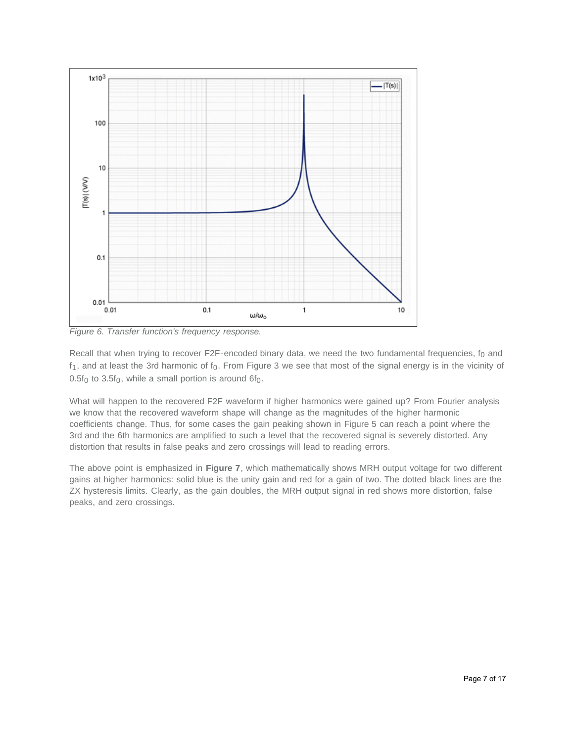

*Figure 6. Transfer function's frequency response.*

Recall that when trying to recover F2F-encoded binary data, we need the two fundamental frequencies,  $f_0$  and  $f_1$ , and at least the 3rd harmonic of  $f_0$ . From Figure 3 we see that most of the signal energy is in the vicinity of  $0.5f_0$  to  $3.5f_0$ , while a small portion is around  $6f_0$ .

What will happen to the recovered F2F waveform if higher harmonics were gained up? From Fourier analysis we know that the recovered waveform shape will change as the magnitudes of the higher harmonic coefficients change. Thus, for some cases the gain peaking shown in Figure 5 can reach a point where the 3rd and the 6th harmonics are amplified to such a level that the recovered signal is severely distorted. Any distortion that results in false peaks and zero crossings will lead to reading errors.

The above point is emphasized in **Figure 7**, which mathematically shows MRH output voltage for two different gains at higher harmonics: solid blue is the unity gain and red for a gain of two. The dotted black lines are the ZX hysteresis limits. Clearly, as the gain doubles, the MRH output signal in red shows more distortion, false peaks, and zero crossings.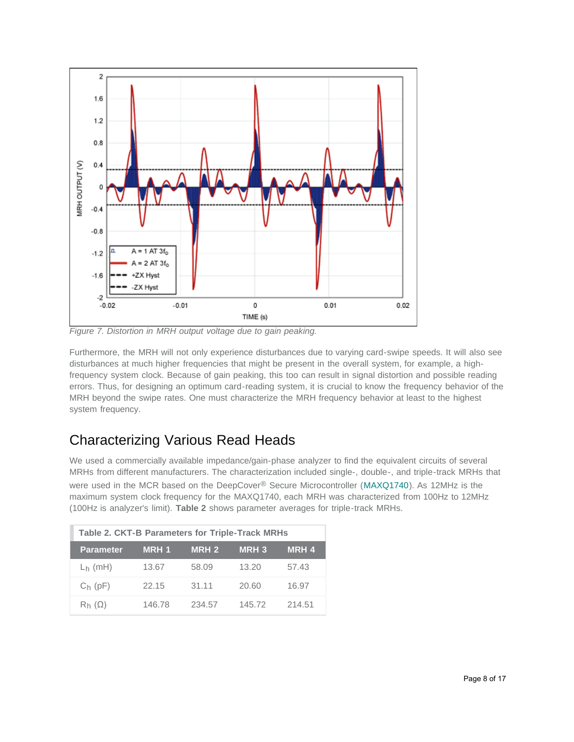

*Figure 7. Distortion in MRH output voltage due to gain peaking.*

Furthermore, the MRH will not only experience disturbances due to varying card-swipe speeds. It will also see disturbances at much higher frequencies that might be present in the overall system, for example, a highfrequency system clock. Because of gain peaking, this too can result in signal distortion and possible reading errors. Thus, for designing an optimum card-reading system, it is crucial to know the frequency behavior of the MRH beyond the swipe rates. One must characterize the MRH frequency behavior at least to the highest system frequency.

# Characterizing Various Read Heads

We used a commercially available impedance/gain-phase analyzer to find the equivalent circuits of several MRHs from different manufacturers. The characterization included single-, double-, and triple-track MRHs that were used in the MCR based on the DeepCover® Secure Microcontroller ([MAXQ1740\)](http://www.maximintegrated.com/MAXQ1740). As 12MHz is the maximum system clock frequency for the MAXQ1740, each MRH was characterized from 100Hz to 12MHz (100Hz is analyzer's limit). **Table 2** shows parameter averages for triple-track MRHs.

| <b>Table 2. CKT-B Parameters for Triple-Track MRHs</b> |        |              |             |             |  |  |
|--------------------------------------------------------|--------|--------------|-------------|-------------|--|--|
| <b>Parameter</b>                                       | MRH 1  | <b>MRH 2</b> | <b>MRH3</b> | <b>MRH4</b> |  |  |
| $L_h$ (mH)                                             | 13.67  | 58.09        | 13.20       | 57.43       |  |  |
| $C_h$ (pF)                                             | 22.15  | 31.11        | 20.60       | 16.97       |  |  |
| $R_h(\Omega)$                                          | 146.78 | 234.57       | 145.72      | 214.51      |  |  |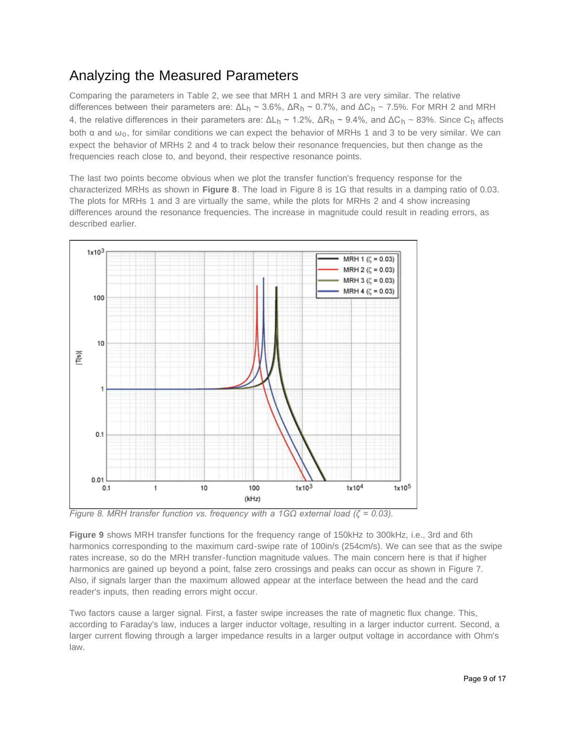## Analyzing the Measured Parameters

Comparing the parameters in Table 2, we see that MRH 1 and MRH 3 are very similar. The relative differences between their parameters are:  $ΔL_h ~ 3.6%, ΔR_h ~ 0.7%,$  and  $ΔC_h ~ 7.5%.$  For MRH 2 and MRH 4, the relative differences in their parameters are:  $ΔL<sub>h</sub> ~ 1.2%$ ,  $ΔR<sub>h</sub> ~ 9.4%$ , and  $ΔC<sub>h</sub> ~ 83%$ . Since C<sub>h</sub> affects both  $\alpha$  and  $\omega_0$ , for similar conditions we can expect the behavior of MRHs 1 and 3 to be very similar. We can expect the behavior of MRHs 2 and 4 to track below their resonance frequencies, but then change as the frequencies reach close to, and beyond, their respective resonance points.

The last two points become obvious when we plot the transfer function's frequency response for the characterized MRHs as shown in **Figure 8**. The load in Figure 8 is 1G that results in a damping ratio of 0.03. The plots for MRHs 1 and 3 are virtually the same, while the plots for MRHs 2 and 4 show increasing differences around the resonance frequencies. The increase in magnitude could result in reading errors, as described earlier.



*Figure 8. MRH transfer function vs. frequency with a 1GΩ external load (ζ = 0.03).*

**Figure 9** shows MRH transfer functions for the frequency range of 150kHz to 300kHz, i.e., 3rd and 6th harmonics corresponding to the maximum card-swipe rate of 100in/s (254cm/s). We can see that as the swipe rates increase, so do the MRH transfer-function magnitude values. The main concern here is that if higher harmonics are gained up beyond a point, false zero crossings and peaks can occur as shown in Figure 7. Also, if signals larger than the maximum allowed appear at the interface between the head and the card reader's inputs, then reading errors might occur.

Two factors cause a larger signal. First, a faster swipe increases the rate of magnetic flux change. This, according to Faraday's law, induces a larger inductor voltage, resulting in a larger inductor current. Second, a larger current flowing through a larger impedance results in a larger output voltage in accordance with Ohm's law.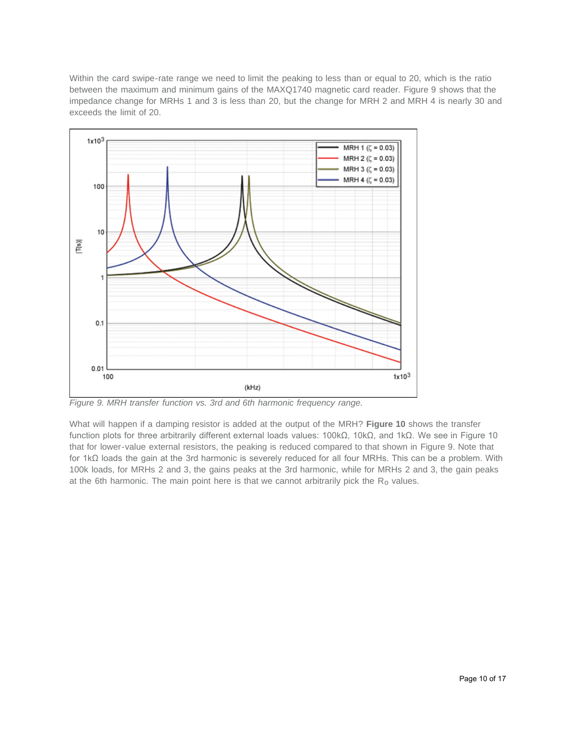Within the card swipe-rate range we need to limit the peaking to less than or equal to 20, which is the ratio between the maximum and minimum gains of the MAXQ1740 magnetic card reader. Figure 9 shows that the impedance change for MRHs 1 and 3 is less than 20, but the change for MRH 2 and MRH 4 is nearly 30 and exceeds the limit of 20.



*Figure 9. MRH transfer function vs. 3rd and 6th harmonic frequency range.*

What will happen if a damping resistor is added at the output of the MRH? **Figure 10** shows the transfer function plots for three arbitrarily different external loads values: 100kΩ, 10kΩ, and 1kΩ. We see in Figure 10 that for lower-value external resistors, the peaking is reduced compared to that shown in Figure 9. Note that for 1kΩ loads the gain at the 3rd harmonic is severely reduced for all four MRHs. This can be a problem. With 100k loads, for MRHs 2 and 3, the gains peaks at the 3rd harmonic, while for MRHs 2 and 3, the gain peaks at the 6th harmonic. The main point here is that we cannot arbitrarily pick the  $R_0$  values.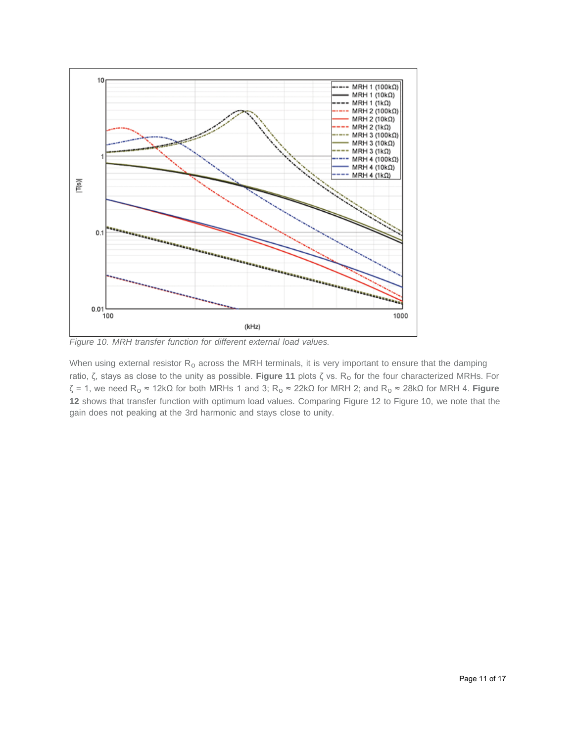

*Figure 10. MRH transfer function for different external load values.*

When using external resistor  $R_0$  across the MRH terminals, it is very important to ensure that the damping ratio, ζ, stays as close to the unity as possible. **Figure 11** plots ζ vs. Ro for the four characterized MRHs. For  $ζ = 1$ , we need R<sub>o</sub> ≈ 12kΩ for both MRHs 1 and 3; R<sub>o</sub> ≈ 22kΩ for MRH 2; and R<sub>o</sub> ≈ 28kΩ for MRH 4. **Figure 12** shows that transfer function with optimum load values. Comparing Figure 12 to Figure 10, we note that the gain does not peaking at the 3rd harmonic and stays close to unity.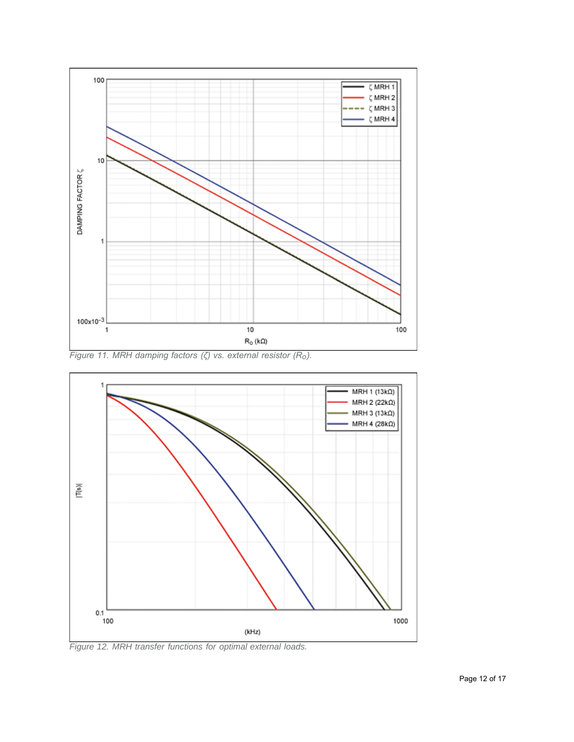

*Figure 11. MRH damping factors (ζ) vs. external resistor (Ro).*



*Figure 12. MRH transfer functions for optimal external loads.*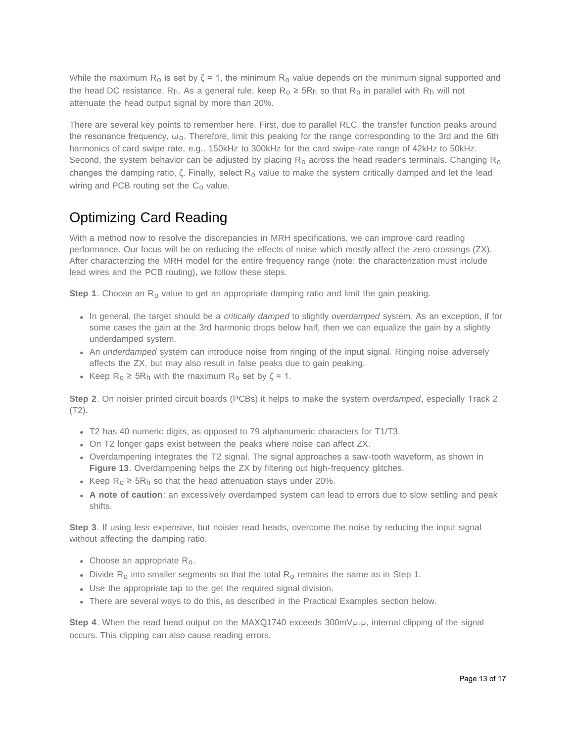While the maximum R<sub>o</sub> is set by  $\zeta$  = 1, the minimum R<sub>o</sub> value depends on the minimum signal supported and the head DC resistance,  $R_h$ . As a general rule, keep  $R_o \ge 5R_h$  so that  $R_o$  in parallel with  $R_h$  will not attenuate the head output signal by more than 20%.

There are several key points to remember here. First, due to parallel RLC, the transfer function peaks around the resonance frequency,  $\omega_0$ . Therefore, limit this peaking for the range corresponding to the 3rd and the 6th harmonics of card swipe rate, e.g., 150kHz to 300kHz for the card swipe-rate range of 42kHz to 50kHz. Second, the system behavior can be adjusted by placing  $R_0$  across the head reader's terminals. Changing  $R_0$ changes the damping ratio, ζ. Finally, select R<sub>o</sub> value to make the system critically damped and let the lead wiring and PCB routing set the  $C_0$  value.

# Optimizing Card Reading

With a method now to resolve the discrepancies in MRH specifications, we can improve card reading performance. Our focus will be on reducing the effects of noise which mostly affect the zero crossings (ZX). After characterizing the MRH model for the entire frequency range (note: the characterization must include lead wires and the PCB routing), we follow these steps.

**Step 1**. Choose an R<sub>o</sub> value to get an appropriate damping ratio and limit the gain peaking.

- In general, the target should be a *critically damped* to slightly *overdamped* system. As an exception, if for some cases the gain at the 3rd harmonic drops below half, then we can equalize the gain by a slightly underdamped system.
- An *underdamped* system can introduce noise from ringing of the input signal. Ringing noise adversely affects the ZX, but may also result in false peaks due to gain peaking.
- Keep  $R_0 \geq 5R_h$  with the maximum  $R_0$  set by  $\zeta = 1$ .

**Step 2**. On noisier printed circuit boards (PCBs) it helps to make the system *overdamped*, especially Track 2 (T2).

- T2 has 40 numeric digits, as opposed to 79 alphanumeric characters for T1/T3.
- On T2 longer gaps exist between the peaks where noise can affect ZX.
- Overdampening integrates the T2 signal. The signal approaches a saw-tooth waveform, as shown in **Figure 13**. Overdampening helps the ZX by filtering out high-frequency glitches.
- Keep  $R_0$  ≥ 5 $R_h$  so that the head attenuation stays under 20%.
- **A note of caution**: an excessively overdamped system can lead to errors due to slow settling and peak shifts.

**Step 3**. If using less expensive, but noisier read heads, overcome the noise by reducing the input signal without affecting the damping ratio.

- Choose an appropriate  $R_0$ .
- Divide R<sub>o</sub> into smaller segments so that the total R<sub>o</sub> remains the same as in Step 1.
- Use the appropriate tap to the get the required signal division.
- There are several ways to do this, as described in the Practical Examples section below.

**Step 4**. When the read head output on the MAXQ1740 exceeds 300mV<sub>P-P</sub>, internal clipping of the signal occurs. This clipping can also cause reading errors.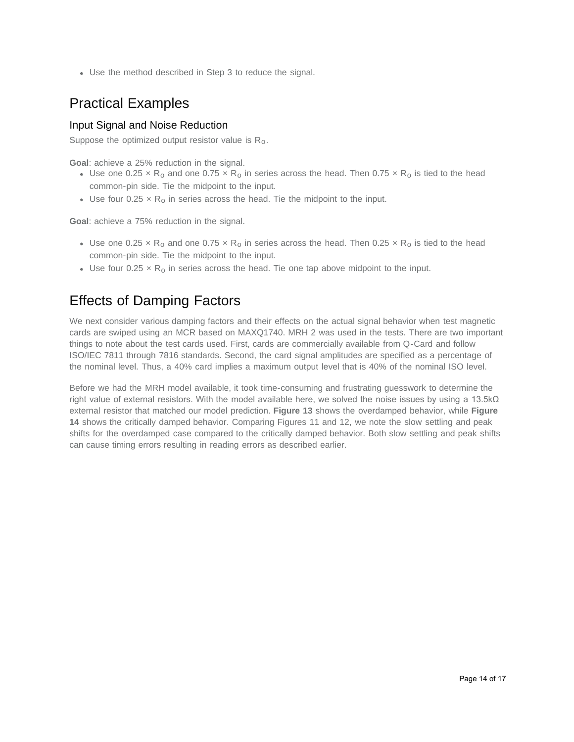Use the method described in Step 3 to reduce the signal.

### Practical Examples

#### Input Signal and Noise Reduction

Suppose the optimized output resistor value is  $R_0$ .

**Goal**: achieve a 25% reduction in the signal.

- Use one 0.25  $\times$  R<sub>o</sub> and one 0.75  $\times$  R<sub>o</sub> in series across the head. Then 0.75  $\times$  R<sub>o</sub> is tied to the head common-pin side. Tie the midpoint to the input.
- Use four  $0.25 \times R_0$  in series across the head. Tie the midpoint to the input.

**Goal**: achieve a 75% reduction in the signal.

- Use one 0.25  $\times$  R<sub>o</sub> and one 0.75  $\times$  R<sub>o</sub> in series across the head. Then 0.25  $\times$  R<sub>o</sub> is tied to the head common-pin side. Tie the midpoint to the input.
- Use four 0.25  $\times$  R<sub>0</sub> in series across the head. Tie one tap above midpoint to the input.

### Effects of Damping Factors

We next consider various damping factors and their effects on the actual signal behavior when test magnetic cards are swiped using an MCR based on MAXQ1740. MRH 2 was used in the tests. There are two important things to note about the test cards used. First, cards are commercially available from Q-Card and follow ISO/IEC 7811 through 7816 standards. Second, the card signal amplitudes are specified as a percentage of the nominal level. Thus, a 40% card implies a maximum output level that is 40% of the nominal ISO level.

Before we had the MRH model available, it took time-consuming and frustrating guesswork to determine the right value of external resistors. With the model available here, we solved the noise issues by using a 13.5kΩ external resistor that matched our model prediction. **Figure 13** shows the overdamped behavior, while **Figure 14** shows the critically damped behavior. Comparing Figures 11 and 12, we note the slow settling and peak shifts for the overdamped case compared to the critically damped behavior. Both slow settling and peak shifts can cause timing errors resulting in reading errors as described earlier.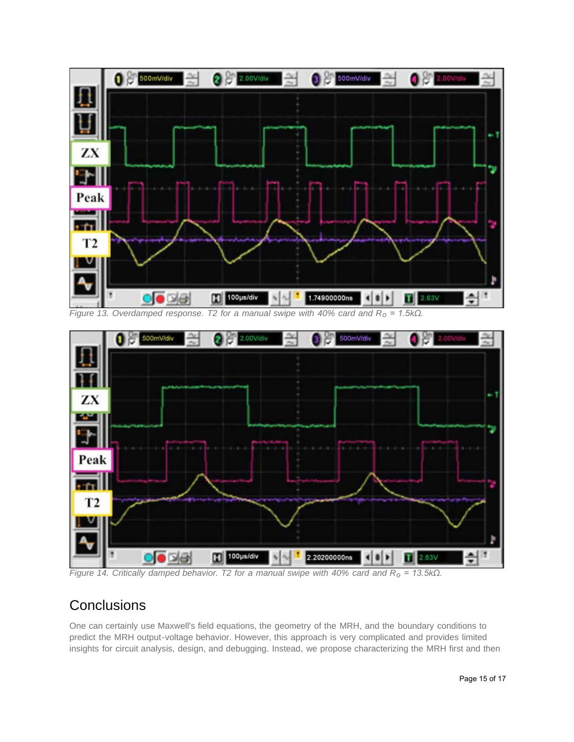

*Figure 13. Overdamped response. T2 for a manual swipe with 40% card and Ro = 1.5kΩ.*



*Figure 14. Critically damped behavior. T2 for a manual swipe with 40% card and Ro = 13.5kΩ.*

### **Conclusions**

One can certainly use Maxwell's field equations, the geometry of the MRH, and the boundary conditions to predict the MRH output-voltage behavior. However, this approach is very complicated and provides limited insights for circuit analysis, design, and debugging. Instead, we propose characterizing the MRH first and then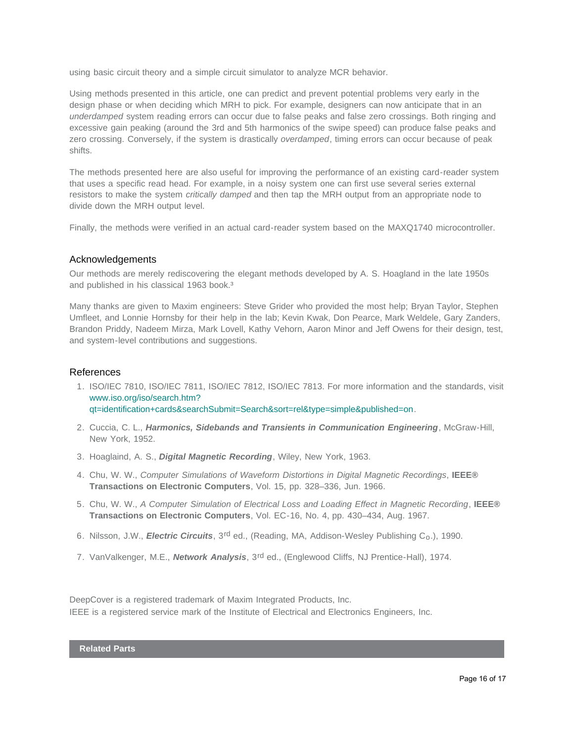using basic circuit theory and a simple circuit simulator to analyze MCR behavior.

Using methods presented in this article, one can predict and prevent potential problems very early in the design phase or when deciding which MRH to pick. For example, designers can now anticipate that in an *underdamped* system reading errors can occur due to false peaks and false zero crossings. Both ringing and excessive gain peaking (around the 3rd and 5th harmonics of the swipe speed) can produce false peaks and zero crossing. Conversely, if the system is drastically *overdamped*, timing errors can occur because of peak shifts.

The methods presented here are also useful for improving the performance of an existing card-reader system that uses a specific read head. For example, in a noisy system one can first use several series external resistors to make the system *critically damped* and then tap the MRH output from an appropriate node to divide down the MRH output level.

Finally, the methods were verified in an actual card-reader system based on the MAXQ1740 microcontroller.

#### Acknowledgements

Our methods are merely rediscovering the elegant methods developed by A. S. Hoagland in the late 1950s and published in his classical 1963 book.<sup>3</sup>

Many thanks are given to Maxim engineers: Steve Grider who provided the most help; Bryan Taylor, Stephen Umfleet, and Lonnie Hornsby for their help in the lab; Kevin Kwak, Don Pearce, Mark Weldele, Gary Zanders, Brandon Priddy, Nadeem Mirza, Mark Lovell, Kathy Vehorn, Aaron Minor and Jeff Owens for their design, test, and system-level contributions and suggestions.

#### References

1. ISO/IEC 7810, ISO/IEC 7811, ISO/IEC 7812, ISO/IEC 7813. For more information and the standards, visit [www.iso.org/iso/search.htm?](http://www.iso.org/iso/search.htm?qt=identification+cards&searchSubmit=Search&sort=rel&type=simple&published=on) [qt=identification+cards&searchSubmit=Search&sort=rel&type=simple&published=on.](http://www.iso.org/iso/search.htm?qt=identification+cards&searchSubmit=Search&sort=rel&type=simple&published=on)

- 2. Cuccia, C. L., *Harmonics, Sidebands and Transients in Communication Engineering*, McGraw-Hill, New York, 1952.
- 3. Hoaglaind, A. S., *Digital Magnetic Recording*, Wiley, New York, 1963.
- 4. Chu, W. W., *Computer Simulations of Waveform Distortions in Digital Magnetic Recordings*, **IEEE® Transactions on Electronic Computers**, Vol. 15, pp. 328–336, Jun. 1966.
- 5. Chu, W. W., *A Computer Simulation of Electrical Loss and Loading Effect in Magnetic Recording*, **IEEE® Transactions on Electronic Computers**, Vol. EC-16, No. 4, pp. 430–434, Aug. 1967.
- 6. Nilsson, J.W., *Electric Circuits*, 3<sup>rd</sup> ed., (Reading, MA, Addison-Wesley Publishing C<sub>o</sub>.), 1990.
- 7. VanValkenger, M.E., *Network Analysis*, 3rd ed., (Englewood Cliffs, NJ Prentice-Hall), 1974.

DeepCover is a registered trademark of Maxim Integrated Products, Inc. IEEE is a registered service mark of the Institute of Electrical and Electronics Engineers, Inc.

**Related Parts**